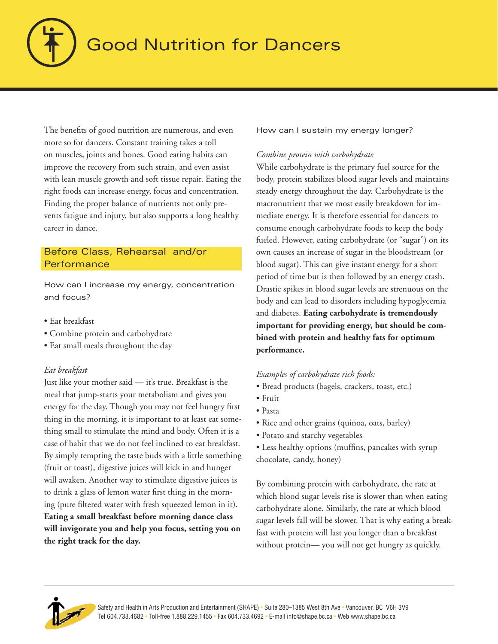

# **Good Nutrition for Dancers**

The benefits of good nutrition are numerous, and even more so for dancers. Constant training takes a toll on muscles, joints and bones. Good eating habits can improve the recovery from such strain, and even assist with lean muscle growth and soft tissue repair. Eating the right foods can increase energy, focus and concentration. Finding the proper balance of nutrients not only prevents fatigue and injury, but also supports a long healthy career in dance.

# Before Class, Rehearsal and/or **Performance**

How can I increase my energy, concentration and focus?

- Eat breakfast
- Combine protein and carbohydrate
- Eat small meals throughout the day

## *Eat breakfast*

Just like your mother said — it's true. Breakfast is the meal that jump-starts your metabolism and gives you energy for the day. Though you may not feel hungry first thing in the morning, it is important to at least eat something small to stimulate the mind and body. Often it is a case of habit that we do not feel inclined to eat breakfast. By simply tempting the taste buds with a little something (fruit or toast), digestive juices will kick in and hunger will awaken. Another way to stimulate digestive juices is to drink a glass of lemon water first thing in the morning (pure filtered water with fresh squeezed lemon in it). **Eating a small breakfast before morning dance class will invigorate you and help you focus, setting you on the right track for the day.**

How can I sustain my energy longer?

## *Combine protein with carbohydrate*

While carbohydrate is the primary fuel source for the body, protein stabilizes blood sugar levels and maintains steady energy throughout the day. Carbohydrate is the macronutrient that we most easily breakdown for immediate energy. It is therefore essential for dancers to consume enough carbohydrate foods to keep the body fueled. However, eating carbohydrate (or "sugar") on its own causes an increase of sugar in the bloodstream (or blood sugar). This can give instant energy for a short period of time but is then followed by an energy crash. Drastic spikes in blood sugar levels are strenuous on the body and can lead to disorders including hypoglycemia and diabetes. **Eating carbohydrate is tremendously important for providing energy, but should be combined with protein and healthy fats for optimum performance.** 

## *Examples of carbohydrate rich foods:*

- Bread products (bagels, crackers, toast, etc.)
- Fruit
- Pasta
- Rice and other grains (quinoa, oats, barley)
- Potato and starchy vegetables
- Less healthy options (muffins, pancakes with syrup chocolate, candy, honey)

By combining protein with carbohydrate, the rate at which blood sugar levels rise is slower than when eating carbohydrate alone. Similarly, the rate at which blood sugar levels fall will be slower. That is why eating a breakfast with protein will last you longer than a breakfast without protein— you will not get hungry as quickly.

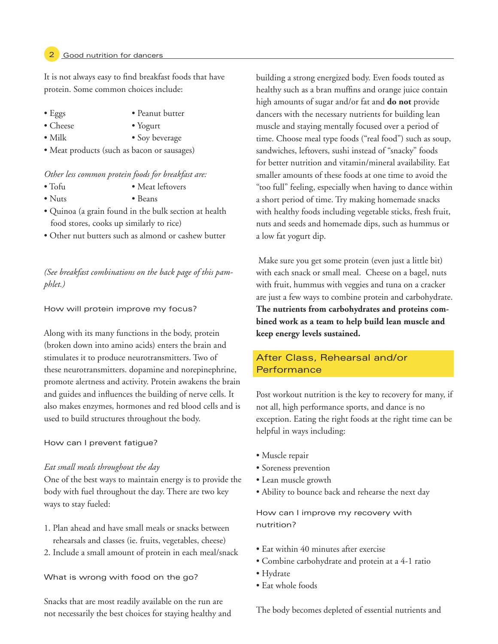#### Good nutrition for dancers

It is not always easy to find breakfast foods that have protein. Some common choices include:

- Eggs Peanut butter
- Cheese Yogurt
- 
- Milk Soy beverage
- Meat products (such as bacon or sausages)

#### *Other less common protein foods for breakfast are:*

- Tofu Meat leftovers
- Nuts Beans
- Quinoa (a grain found in the bulk section at health food stores, cooks up similarly to rice)
- Other nut butters such as almond or cashew butter

*(See breakfast combinations on the back page of this pamphlet.)*

#### How will protein improve my focus?

Along with its many functions in the body, protein (broken down into amino acids) enters the brain and stimulates it to produce neurotransmitters. Two of these neurotransmitters. dopamine and norepinephrine, promote alertness and activity. Protein awakens the brain and guides and influences the building of nerve cells. It also makes enzymes, hormones and red blood cells and is used to build structures throughout the body.

#### How can I prevent fatigue?

#### *Eat small meals throughout the day*

One of the best ways to maintain energy is to provide the body with fuel throughout the day. There are two key ways to stay fueled:

- 1. Plan ahead and have small meals or snacks between rehearsals and classes (ie. fruits, vegetables, cheese)
- 2. Include a small amount of protein in each meal/snack

What is wrong with food on the go?

Snacks that are most readily available on the run are not necessarily the best choices for staying healthy and building a strong energized body. Even foods touted as healthy such as a bran muffins and orange juice contain high amounts of sugar and/or fat and **do not** provide dancers with the necessary nutrients for building lean muscle and staying mentally focused over a period of time. Choose meal type foods ("real food") such as soup, sandwiches, leftovers, sushi instead of "snacky" foods for better nutrition and vitamin/mineral availability. Eat smaller amounts of these foods at one time to avoid the "too full" feeling, especially when having to dance within a short period of time. Try making homemade snacks with healthy foods including vegetable sticks, fresh fruit, nuts and seeds and homemade dips, such as hummus or a low fat yogurt dip.

 Make sure you get some protein (even just a little bit) with each snack or small meal. Cheese on a bagel, nuts with fruit, hummus with veggies and tuna on a cracker are just a few ways to combine protein and carbohydrate. **The nutrients from carbohydrates and proteins combined work as a team to help build lean muscle and keep energy levels sustained.** 

# After Class, Rehearsal and/or **Performance**

Post workout nutrition is the key to recovery for many, if not all, high performance sports, and dance is no exception. Eating the right foods at the right time can be helpful in ways including:

- Muscle repair
- Soreness prevention
- Lean muscle growth
- Ability to bounce back and rehearse the next day

How can I improve my recovery with nutrition?

- Eat within 40 minutes after exercise
- Combine carbohydrate and protein at a 4-1 ratio
- Hydrate
- Eat whole foods

The body becomes depleted of essential nutrients and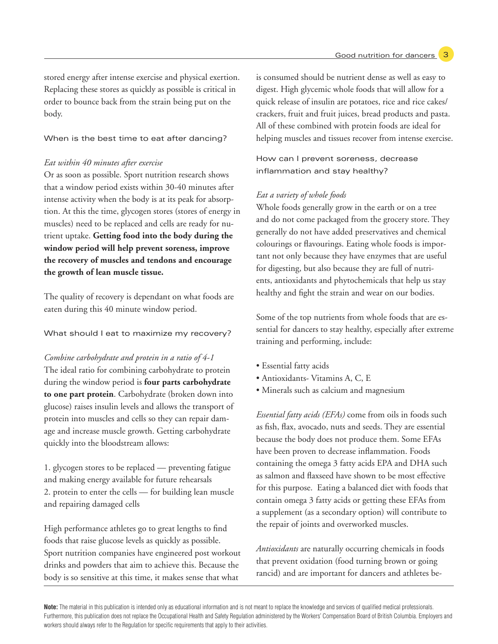stored energy after intense exercise and physical exertion. Replacing these stores as quickly as possible is critical in order to bounce back from the strain being put on the body.

#### When is the best time to eat after dancing?

#### *Eat within 40 minutes after exercise*

Or as soon as possible. Sport nutrition research shows that a window period exists within 30-40 minutes after intense activity when the body is at its peak for absorption. At this the time, glycogen stores (stores of energy in muscles) need to be replaced and cells are ready for nutrient uptake. **Getting food into the body during the window period will help prevent soreness, improve the recovery of muscles and tendons and encourage the growth of lean muscle tissue.**

The quality of recovery is dependant on what foods are eaten during this 40 minute window period.

#### What should I eat to maximize my recovery?

*Combine carbohydrate and protein in a ratio of 4-1* The ideal ratio for combining carbohydrate to protein during the window period is **four parts carbohydrate to one part protein**. Carbohydrate (broken down into glucose) raises insulin levels and allows the transport of protein into muscles and cells so they can repair damage and increase muscle growth. Getting carbohydrate quickly into the bloodstream allows:

1. glycogen stores to be replaced — preventing fatigue and making energy available for future rehearsals 2. protein to enter the cells — for building lean muscle and repairing damaged cells

High performance athletes go to great lengths to find foods that raise glucose levels as quickly as possible. Sport nutrition companies have engineered post workout drinks and powders that aim to achieve this. Because the body is so sensitive at this time, it makes sense that what

is consumed should be nutrient dense as well as easy to digest. High glycemic whole foods that will allow for a quick release of insulin are potatoes, rice and rice cakes/ crackers, fruit and fruit juices, bread products and pasta. All of these combined with protein foods are ideal for helping muscles and tissues recover from intense exercise.

How can I prevent soreness, decrease inflammation and stay healthy?

### *Eat a variety of whole foods*

Whole foods generally grow in the earth or on a tree and do not come packaged from the grocery store. They generally do not have added preservatives and chemical colourings or flavourings. Eating whole foods is important not only because they have enzymes that are useful for digesting, but also because they are full of nutrients, antioxidants and phytochemicals that help us stay healthy and fight the strain and wear on our bodies.

Some of the top nutrients from whole foods that are essential for dancers to stay healthy, especially after extreme training and performing, include:

- Essential fatty acids
- Antioxidants- Vitamins A, C, E
- Minerals such as calcium and magnesium

*Essential fatty acids (EFAs)* come from oils in foods such as fish, flax, avocado, nuts and seeds. They are essential because the body does not produce them. Some EFAs have been proven to decrease inflammation. Foods containing the omega 3 fatty acids EPA and DHA such as salmon and flaxseed have shown to be most effective for this purpose. Eating a balanced diet with foods that contain omega 3 fatty acids or getting these EFAs from a supplement (as a secondary option) will contribute to the repair of joints and overworked muscles.

*Antioxidants* are naturally occurring chemicals in foods that prevent oxidation (food turning brown or going rancid) and are important for dancers and athletes be-

**Note:** The material in this publication is intended only as educational information and is not meant to replace the knowledge and services of qualified medical professionals. Furthermore, this publication does not replace the Occupational Health and Safety Regulation administered by the Workers' Compensation Board of British Columbia. Employers and workers should always refer to the Regulation for specific requirements that apply to their activities.